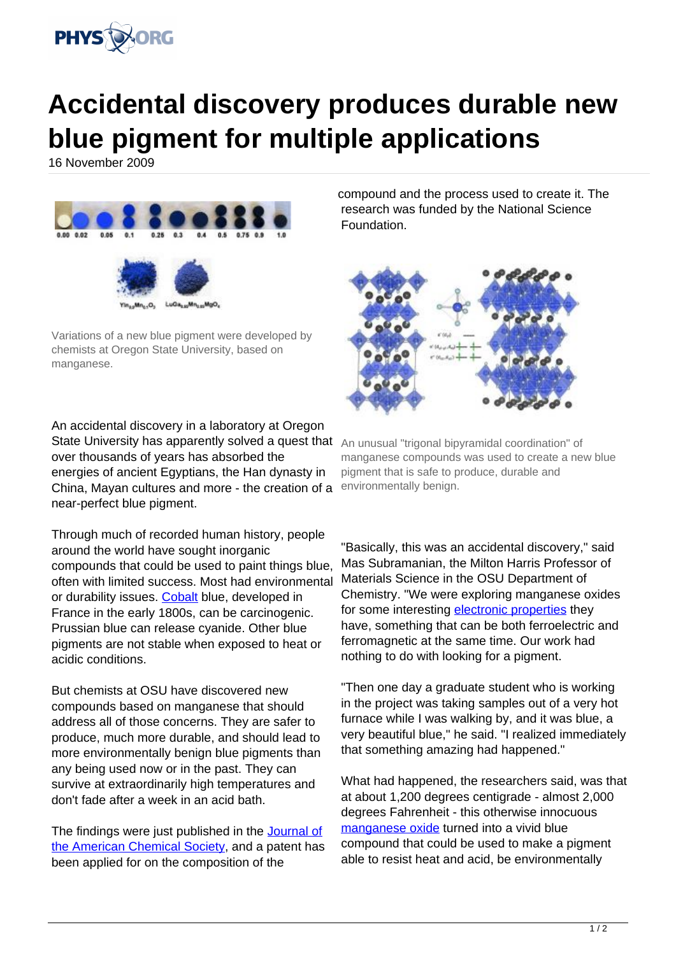

## **Accidental discovery produces durable new blue pigment for multiple applications**

16 November 2009



Variations of a new blue pigment were developed by chemists at Oregon State University, based on manganese.

An accidental discovery in a laboratory at Oregon State University has apparently solved a quest that An unusual "trigonal bipyramidal coordination" of over thousands of years has absorbed the energies of ancient Egyptians, the Han dynasty in China, Mayan cultures and more - the creation of a near-perfect blue pigment.

Through much of recorded human history, people around the world have sought inorganic compounds that could be used to paint things blue, often with limited success. Most had environmental or durability issues. [Cobalt](https://phys.org/tags/cobalt/) blue, developed in France in the early 1800s, can be carcinogenic. Prussian blue can release cyanide. Other blue pigments are not stable when exposed to heat or acidic conditions.

But chemists at OSU have discovered new compounds based on manganese that should address all of those concerns. They are safer to produce, much more durable, and should lead to more environmentally benign blue pigments than any being used now or in the past. They can survive at extraordinarily high temperatures and don't fade after a week in an acid bath.

The findings were just published in the [Journal of](https://phys.org/tags/journal+of+the+american+chemical+society/) [the American Chemical Society](https://phys.org/tags/journal+of+the+american+chemical+society/), and a patent has been applied for on the composition of the

compound and the process used to create it. The research was funded by the National Science Foundation.



manganese compounds was used to create a new blue pigment that is safe to produce, durable and environmentally benign.

"Basically, this was an accidental discovery," said Mas Subramanian, the Milton Harris Professor of Materials Science in the OSU Department of Chemistry. "We were exploring manganese oxides for some interesting [electronic properties](https://phys.org/tags/electronic+properties/) they have, something that can be both ferroelectric and ferromagnetic at the same time. Our work had nothing to do with looking for a pigment.

"Then one day a graduate student who is working in the project was taking samples out of a very hot furnace while I was walking by, and it was blue, a very beautiful blue," he said. "I realized immediately that something amazing had happened."

What had happened, the researchers said, was that at about 1,200 degrees centigrade - almost 2,000 degrees Fahrenheit - this otherwise innocuous [manganese oxide](https://phys.org/tags/manganese+oxide/) turned into a vivid blue compound that could be used to make a pigment able to resist heat and acid, be environmentally